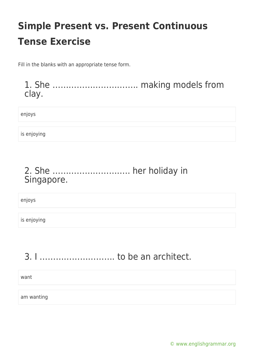Fill in the blanks with an appropriate tense form.

1. She ………………………….. making models from clay.

enjoys

is enjoying

### 2. She ……………………….. her holiday in Singapore.

enjoys

is enjoying

## 3. I ………………………. to be an architect.

want

am wanting

[© www.englishgrammar.org](https://www.englishgrammar.org/)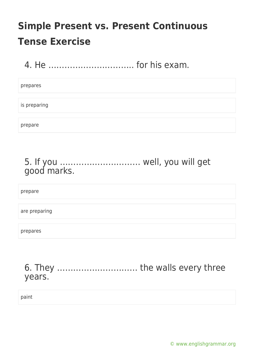4. He ………………………….. for his exam.

prepares

is preparing

prepare

## 5. If you ………………………… well, you will get good marks.

prepare

are preparing

prepares

6. They ………………………… the walls every three years.

paint

[© www.englishgrammar.org](https://www.englishgrammar.org/)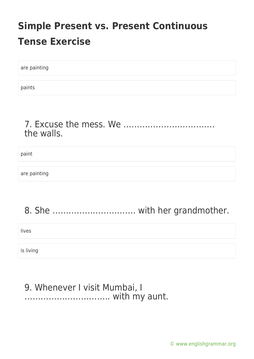are painting

paints

### 7. Excuse the mess. We ……………………………. the walls.

paint

are painting

## 8. She …………………………. with her grandmother.

lives

is living

### 9. Whenever I visit Mumbai, I ………………………….. with my aunt.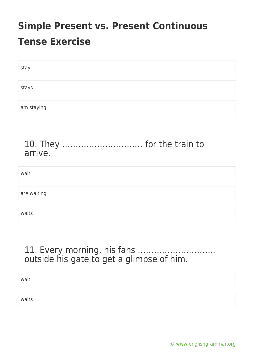| stay       |  |
|------------|--|
|            |  |
| stays      |  |
|            |  |
| am staying |  |

### 10. They ………………………… for the train to arrive.

| wait        |  |
|-------------|--|
| are waiting |  |
|             |  |

11. Every morning, his fans ……………………….. outside his gate to get a glimpse of him.

wait

waits

waits